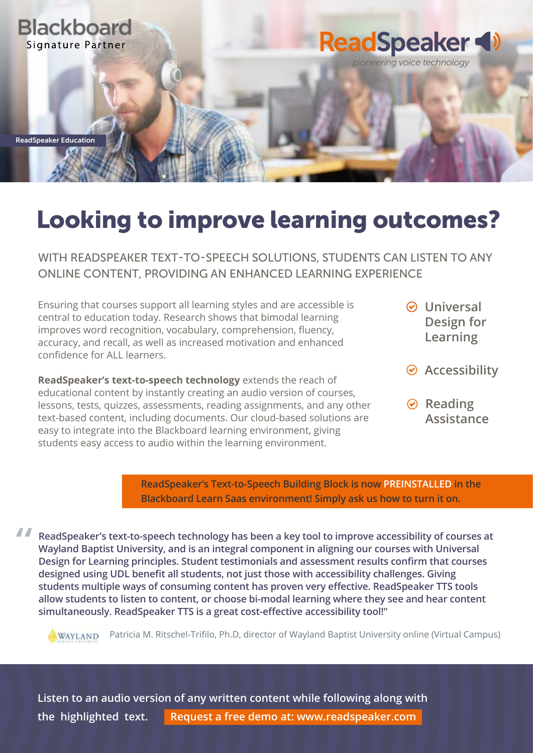

## Looking to improve learning outcomes?

WITH READSPEAKER TEXT-TO-SPEECH SOLUTIONS, STUDENTS CAN LISTEN TO ANY ONLINE CONTENT, PROVIDING AN ENHANCED LEARNING EXPERIENCE

Ensuring that courses support all learning styles and are accessible is central to education today. Research shows that bimodal learning improves word recognition, vocabulary, comprehension, fluency, accuracy, and recall, as well as increased motivation and enhanced confidence for ALL learners.

**ReadSpeaker's text-to-speech technology** extends the reach of educational content by instantly creating an audio version of courses, lessons, tests, quizzes, assessments, reading assignments, and any other text-based content, including documents. Our cloud-based solutions are easy to integrate into the Blackboard learning environment, giving students easy access to audio within the learning environment.

- **Universal Design for Learning**
- **Accessibility**
- **⊘** Reading **Assistance**

**ReadSpeaker's Text-to-Speech Building Block is now PREINSTALLED in the Blackboard Learn Saas environment! Simply ask us how to turn it on.**

**ReadSpeaker's text-to-speech technology has been a key tool to improve accessibility of courses at Wayland Baptist University, and is an integral component in aligning our courses with Universal Design for Learning principles. Student testimonials and assessment results confirm that courses designed using UDL benefit all students, not just those with accessibility challenges. Giving students multiple ways of consuming content has proven very effective. ReadSpeaker TTS tools allow students to listen to content, or choose bi-modal learning where they see and hear content simultaneously. ReadSpeaker TTS is a great cost-effective accessibility tool!"**

Patricia M. Ritschel-Trifilo, Ph.D, director of Wayland Baptist University online (Virtual Campus) WAYLAND

**Listen to an audio version of any written content while following along with the highlighted text. Request a free demo at: www.readspeaker.com**